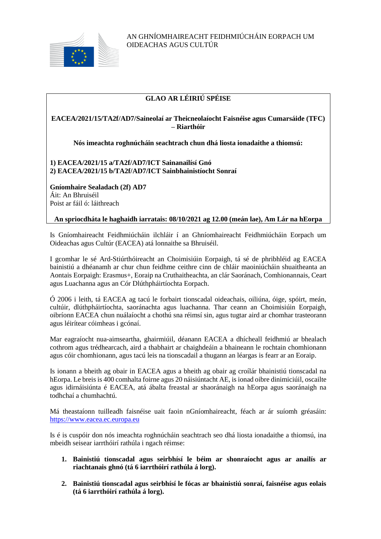

# **GLAO AR LÉIRIÚ SPÉISE**

# **EACEA/2021/15/TA2f/AD7/Saineolaí ar Theicneolaíocht Faisnéise agus Cumarsáide (TFC) – Riarthóir**

**Nós imeachta roghnúcháin seachtrach chun dhá liosta ionadaithe a thiomsú:**

# **1) EACEA/2021/15 a/TA2f/AD7/ICT Sainanailísí Gnó 2) EACEA/2021/15 b/TA2f/AD7/ICT Sainbhainistíocht Sonraí**

**Gníomhaire Sealadach (2f) AD7** Áit: An Bhruiséil Poist ar fáil ó: láithreach

# **An spriocdháta le haghaidh iarratais: 08/10/2021 ag 12.00 (meán lae), Am Lár na hEorpa**

Is Gníomhaireacht Feidhmiúcháin ilchláir í an Ghníomhaireacht Feidhmiúcháin Eorpach um Oideachas agus Cultúr (EACEA) atá lonnaithe sa Bhruiséil.

I gcomhar le sé Ard-Stiúrthóireacht an Choimisiúin Eorpaigh, tá sé de phribhléid ag EACEA bainistiú a dhéanamh ar chur chun feidhme ceithre cinn de chláir maoiniúcháin shuaitheanta an Aontais Eorpaigh: Erasmus+, Eoraip na Cruthaitheachta, an clár Saoránach, Comhionannais, Ceart agus Luachanna agus an Cór Dlúthpháirtíochta Eorpach.

Ó 2006 i leith, tá EACEA ag tacú le forbairt tionscadal oideachais, oiliúna, óige, spóirt, meán, cultúir, dlúthpháirtíochta, saoránachta agus luachanna. Thar ceann an Choimisiúin Eorpaigh, oibríonn EACEA chun nuálaíocht a chothú sna réimsí sin, agus tugtar aird ar chomhar trasteorann agus léirítear cóimheas i gcónaí.

Mar eagraíocht nua-aimseartha, ghairmiúil, déanann EACEA a dhícheall feidhmiú ar bhealach cothrom agus trédhearcach, aird a thabhairt ar chaighdeáin a bhaineann le rochtain chomhionann agus cóir chomhionann, agus tacú leis na tionscadail a thugann an léargas is fearr ar an Eoraip.

Is ionann a bheith ag obair in EACEA agus a bheith ag obair ag croílár bhainistiú tionscadal na hEorpa. Le breis is 400 comhalta foirne agus 20 náisiúntacht AE, is ionad oibre dinimiciúil, oscailte agus idirnáisiúnta é EACEA, atá ábalta freastal ar shaoránaigh na hEorpa agus saoránaigh na todhchaí a chumhachtú.

Má theastaíonn tuilleadh faisnéise uait faoin nGníomhaireacht, féach ar ár suíomh gréasáin: [https://www.eacea.ec.europa.eu](https://www.eacea.ec.europa.eu/)

Is é is cuspóir don nós imeachta roghnúcháin seachtrach seo dhá liosta ionadaithe a thiomsú, ina mbeidh seisear iarrthóirí rathúla i ngach réimse:

- **1. Bainistiú tionscadal agus seirbhísí le béim ar shonraíocht agus ar anailís ar riachtanais ghnó (tá 6 iarrthóirí rathúla á lorg).**
- **2. Bainistiú tionscadal agus seirbhísí le fócas ar bhainistiú sonraí, faisnéise agus eolais (tá 6 iarrthóirí rathúla á lorg).**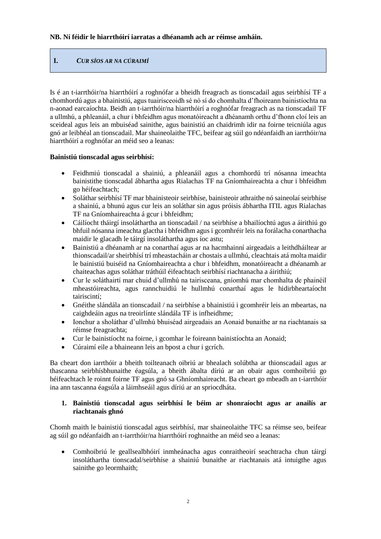# **I.** *CUR SÍOS AR NA CÚRAIMÍ*

Is é an t-iarrthóir/na hiarrthóirí a roghnófar a bheidh freagrach as tionscadail agus seirbhísí TF a chomhordú agus a bhainistiú, agus tuairisceoidh sé nó sí do chomhalta d'fhoireann bainistíochta na n-aonad earcaíochta. Beidh an t-iarrthóir/na hiarrthóirí a roghnófar freagrach as na tionscadail TF a ullmhú, a phleanáil, a chur i bhfeidhm agus monatóireacht a dhéanamh orthu d'fhonn cloí leis an sceideal agus leis an mbuiséad sainithe, agus bainistiú an chaidrimh idir na foirne teicniúla agus gnó ar leibhéal an tionscadail. Mar shaineolaithe TFC, beifear ag súil go ndéanfaidh an iarrthóir/na hiarrthóirí a roghnófar an méid seo a leanas:

### **Bainistiú tionscadal agus seirbhísí:**

- Feidhmiú tionscadal a shainiú, a phleanáil agus a chomhordú trí nósanna imeachta bainistithe tionscadal ábhartha agus Rialachas TF na Gníomhaireachta a chur i bhfeidhm go héifeachtach;
- Soláthar seirbhísí TF mar bhainisteoir seirbhíse, bainisteoir athraithe nó saineolaí seirbhíse a shainiú, a bhunú agus cur leis an soláthar sin agus próisis ábhartha ITIL agus Rialachas TF na Gníomhaireachta á gcur i bhfeidhm;
- Cáilíocht tháirgí insoláthartha an tionscadail / na seirbhíse a bhailíochtú agus a áirithiú go bhfuil nósanna imeachta glactha i bhfeidhm agus i gcomhréir leis na forálacha conarthacha maidir le glacadh le táirgí insoláthartha agus íoc astu;
- Bainistiú a dhéanamh ar na conarthaí agus ar na hacmhainní airgeadais a leithdháiltear ar thionscadail/ar sheirbhísí trí mheastacháin ar chostais a ullmhú, cleachtais atá molta maidir le bainistiú buiséid na Gníomhaireachta a chur i bhfeidhm, monatóireacht a dhéanamh ar chaiteachas agus soláthar tráthúil éifeachtach seirbhísí riachtanacha a áirithiú;
- Cur le soláthairtí mar chuid d'ullmhú na tairisceana, gníomhú mar chomhalta de phainéil mheastóireachta, agus rannchuidiú le hullmhú conarthaí agus le hidirbheartaíocht tairiscintí;
- Gnéithe slándála an tionscadail / na seirbhíse a bhainistiú i gcomhréir leis an mbeartas, na caighdeáin agus na treoirlínte slándála TF is infheidhme;
- Ionchur a sholáthar d'ullmhú bhuiséad airgeadais an Aonaid bunaithe ar na riachtanais sa réimse freagrachta;
- Cur le bainistíocht na foirne, i gcomhar le foireann bainistíochta an Aonaid;
- Cúraimí eile a bhaineann leis an bpost a chur i gcrích.

Ba cheart don iarrthóir a bheith toilteanach oibriú ar bhealach solúbtha ar thionscadail agus ar thascanna seirbhísbhunaithe éagsúla, a bheith ábalta díriú ar an obair agus comhoibriú go héifeachtach le roinnt foirne TF agus gnó sa Ghníomhaireacht. Ba cheart go mbeadh an t-iarrthóir ina ann tascanna éagsúla a láimhseáil agus díriú ar an spriocdháta.

### **1. Bainistiú tionscadal agus seirbhísí le béim ar shonraíocht agus ar anailís ar riachtanais ghnó**

Chomh maith le bainistiú tionscadal agus seirbhísí, mar shaineolaithe TFC sa réimse seo, beifear ag súil go ndéanfaidh an t-iarrthóir/na hiarrthóirí roghnaithe an méid seo a leanas:

 Comhoibriú le geallsealbhóirí inmheánacha agus conraitheoirí seachtracha chun táirgí insoláthartha tionscadal/seirbhíse a shainiú bunaithe ar riachtanais atá intuigthe agus sainithe go leormhaith;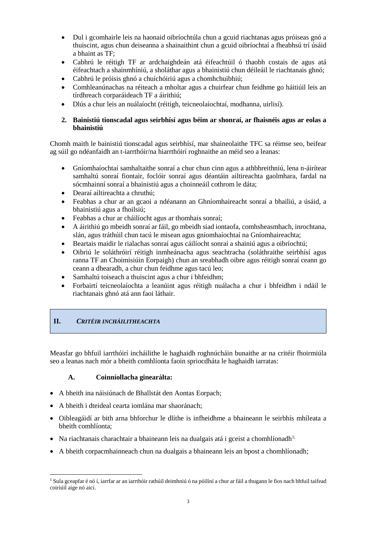- Dul i gcomhairle leis na haonaid oibríochtúla chun a gcuid riachtanas agus próiseas gnó a thuiscint, agus chun deiseanna a shainaithint chun a gcuid oibríochtaí a fheabhsú trí úsáid a bhaint as TF;
- Cabhrú le réitigh TF ar ardchaighdeán atá éifeachtúil ó thaobh costais de agus atá éifeachtach a shainmhíniú, a sholáthar agus a bhainistiú chun déileáil le riachtanais ghnó;
- Cabhrú le próisis ghnó a chuíchóiriú agus a chomhchuibhiú;
- Comhleanúnachas na réiteach a mholtar agus a chuirfear chun feidhme go háitiúil leis an tírdhreach corparáideach TF a áirithiú;
- Dlús a chur leis an nuálaíocht (réitigh, teicneolaíochtaí, modhanna, uirlisí).

### **2. Bainistiú tionscadal agus seirbhísí agus béim ar shonraí, ar fhaisnéis agus ar eolas a bhainistiú**

Chomh maith le bainistiú tionscadal agus seirbhísí, mar shaineolaithe TFC sa réimse seo, beifear ag súil go ndéanfaidh an t-iarrthóir/na hiarrthóirí roghnaithe an méid seo a leanas:

- Gníomhaíochtaí samhaltaithe sonraí a chur chun cinn agus a athbhreithniú, lena n-áirítear samhaltú sonraí fiontair, foclóir sonraí agus déantáin ailtireachta gaolmhara, fardal na sócmhainní sonraí a bhainistiú agus a choinneáil cothrom le dáta;
- Dearaí ailtireachta a chruthú;
- Feabhas a chur ar an gcaoi a ndéanann an Ghníomhaireacht sonraí a bhailiú, a úsáid, a bhainistiú agus a fhoilsiú;
- Feabhas a chur ar cháilíocht agus ar thomhais sonraí;
- A áirithiú go mbeidh sonraí ar fáil, go mbeidh siad iontaofa, comhsheasmhach, inrochtana, slán, agus tráthúil chun tacú le misean agus gníomhaíochtaí na Gníomhaireachta;
- Beartais maidir le rialachas sonraí agus cáilíocht sonraí a shainiú agus a oibríochtú;
- Oibriú le soláthróirí réitigh inmheánacha agus seachtracha (soláthraithe seirbhísí agus ranna TF an Choimisiúin Eorpaigh) chun an sreabhadh oibre agus réitigh sonraí ceann go ceann a dhearadh, a chur chun feidhme agus tacú leo;
- Samhaltú toiseach a thuiscint agus a chur i bhfeidhm;
- Forbairtí teicneolaíochta a leanúint agus réitigh nuálacha a chur i bhfeidhm i ndáil le riachtanais ghnó atá ann faoi láthair.

# **II.** *CRITÉIR INCHÁILITHEACHTA*

Measfar go bhfuil iarrthóirí incháilithe le haghaidh roghnúcháin bunaithe ar na critéir fhoirmiúla seo a leanas nach mór a bheith comhlíonta faoin spriocdháta le haghaidh iarratas:

### **A. Coinníollacha ginearálta:**

- A bheith ina náisiúnach de Bhallstát den Aontas Eorpach;
- A bheith i dteideal cearta iomlána mar shaoránach;
- Oibleagáidí ar bith arna bhforchur le dlíthe is infheidhme a bhaineann le seirbhís mhíleata a bheith comhlíonta;
- Na riachtanais charachtair a bhaineann leis na dualgais atá i gceist a chomhlíonadh<sup>1;</sup>
- A bheith corpacmhainneach chun na dualgais a bhaineann leis an bpost a chomhlíonadh;

<sup>1</sup> <sup>1</sup> Sula gceapfar é nó í, iarrfar ar an iarrthóir rathúil deimhniú ó na póilíní a chur ar fáil a thugann le fios nach bhfuil taifead coiriúil aige nó aici.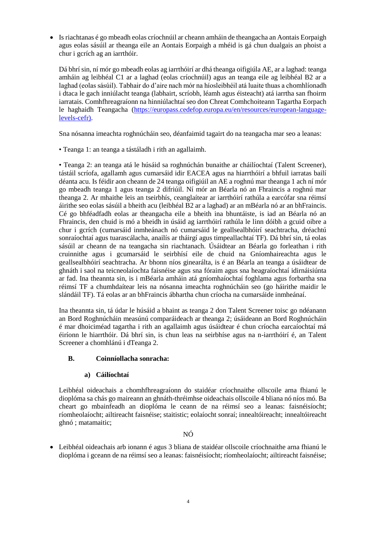Is riachtanas é go mbeadh eolas críochnúil ar cheann amháin de theangacha an Aontais Eorpaigh agus eolas sásúil ar theanga eile an Aontais Eorpaigh a mhéid is gá chun dualgais an phoist a chur i gcrích ag an iarrthóir.

Dá bhrí sin, ní mór go mbeadh eolas ag iarrthóirí ar dhá theanga oifigiúla AE, ar a laghad: teanga amháin ag leibhéal C1 ar a laghad (eolas críochnúil) agus an teanga eile ag leibhéal B2 ar a laghad (eolas sásúil). Tabhair do d'aire nach mór na híosleibhéil atá luaite thuas a chomhlíonadh i dtaca le gach inniúlacht teanga (labhairt, scríobh, léamh agus éisteacht) atá iarrtha san fhoirm iarratais. Comhfhreagraíonn na hinniúlachtaí seo don Chreat Comhchoiteann Tagartha Eorpach le haghaidh Teangacha [\(https://europass.cedefop.europa.eu/en/resources/european-language](https://europass.cedefop.europa.eu/en/resources/european-language-levels-cefr)[levels-cefr\)](https://europass.cedefop.europa.eu/en/resources/european-language-levels-cefr).

Sna nósanna imeachta roghnúcháin seo, déanfaimid tagairt do na teangacha mar seo a leanas:

• Teanga 1: an teanga a tástáladh i rith an agallaimh.

• Teanga 2: an teanga atá le húsáid sa roghnúchán bunaithe ar cháilíochtaí (Talent Screener), tástáil scríofa, agallamh agus cumarsáid idir EACEA agus na hiarrthóirí a bhfuil iarratas bailí déanta acu. Is féidir aon cheann de 24 teanga oifigiúil an AE a roghnú mar theanga 1 ach ní mór go mbeadh teanga 1 agus teanga 2 difriúil. Ní mór an Béarla nó an Fhraincis a roghnú mar theanga 2. Ar mhaithe leis an tseirbhís, ceanglaítear ar iarrthóirí rathúla a earcófar sna réimsí áirithe seo eolas sásúil a bheith acu (leibhéal B2 ar a laghad) ar an mBéarla nó ar an bhFraincis. Cé go bhféadfadh eolas ar theangacha eile a bheith ina bhuntáiste, is iad an Béarla nó an Fhraincis, den chuid is mó a bheidh in úsáid ag iarrthóirí rathúla le linn dóibh a gcuid oibre a chur i gcrích (cumarsáid inmheánach nó cumarsáid le geallsealbhóirí seachtracha, dréachtú sonraíochtaí agus tuarascálacha, anailís ar tháirgí agus timpeallachtaí TF). Dá bhrí sin, tá eolas sásúil ar cheann de na teangacha sin riachtanach. Úsáidtear an Béarla go forleathan i rith cruinnithe agus i gcumarsáid le seirbhísí eile de chuid na Gníomhaireachta agus le geallsealbhóirí seachtracha. Ar bhonn níos ginearálta, is é an Béarla an teanga a úsáidtear de ghnáth i saol na teicneolaíochta faisnéise agus sna fóraim agus sna heagraíochtaí idirnáisiúnta ar fad. Ina theannta sin, is i mBéarla amháin atá gníomhaíochtaí foghlama agus forbartha sna réimsí TF a chumhdaítear leis na nósanna imeachta roghnúcháin seo (go háirithe maidir le slándáil TF). Tá eolas ar an bhFraincis ábhartha chun críocha na cumarsáide inmheánaí.

Ina theannta sin, tá údar le húsáid a bhaint as teanga 2 don Talent Screener toisc go ndéanann an Bord Roghnúcháin measúnú comparáideach ar theanga 2; úsáideann an Bord Roghnúcháin é mar dhoiciméad tagartha i rith an agallaimh agus úsáidtear é chun críocha earcaíochtaí má éiríonn le hiarrthóir. Dá bhrí sin, is chun leas na seirbhíse agus na n-iarrthóirí é, an Talent Screener a chomhlánú i dTeanga 2.

### **B. Coinníollacha sonracha:**

#### **a) Cáilíochtaí**

Leibhéal oideachais a chomhfhreagraíonn do staidéar críochnaithe ollscoile arna fhianú le dioplóma sa chás go maireann an ghnáth-thréimhse oideachais ollscoile 4 bliana nó níos mó. Ba cheart go mbainfeadh an dioplóma le ceann de na réimsí seo a leanas: faisnéisíocht; ríomheolaíocht; ailtireacht faisnéise; staitistic; eolaíocht sonraí; innealtóireacht; innealtóireacht ghnó ; matamaitic;

#### NÓ

 Leibhéal oideachais arb ionann é agus 3 bliana de staidéar ollscoile críochnaithe arna fhianú le dioplóma i gceann de na réimsí seo a leanas: faisnéisíocht; ríomheolaíocht; ailtireacht faisnéise;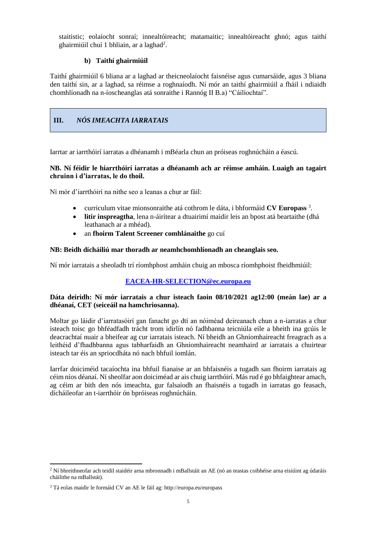staitistic; eolaíocht sonraí; innealtóireacht; matamaitic; innealtóireacht ghnó; agus taithí ghairmiúil chuí 1 bhliain, ar a laghad<sup>2</sup>.

### **b) Taithí ghairmiúil**

Taithí ghairmiúil 6 bliana ar a laghad ar theicneolaíocht faisnéise agus cumarsáide, agus 3 bliana den taithí sin, ar a laghad, sa réimse a roghnaíodh. Ní mór an taithí ghairmiúil a fháil i ndiaidh chomhlíonadh na n-íoscheanglas atá sonraithe i Rannóg II B.a) "Cáilíochtaí".

# **III.** *NÓS IMEACHTA IARRATAIS*

Iarrtar ar iarrthóirí iarratas a dhéanamh i mBéarla chun an próiseas roghnúcháin a éascú.

### **NB. Ní féidir le hiarrthóirí iarratas a dhéanamh ach ar réimse amháin. Luaigh an tagairt chruinn i d'iarratas, le do thoil.**

Ní mór d'iarrthóirí na nithe seo a leanas a chur ar fáil:

- curriculum vitae mionsonraithe atá cothrom le dáta, i bhformáid **CV Europass** <sup>3</sup> .
- **litir inspreagtha**, lena n-áirítear a dtuairimí maidir leis an bpost atá beartaithe (dhá leathanach ar a mhéad).
- an **fhoirm Talent Screener comhlánaithe** go cuí

### **NB: Beidh dícháiliú mar thoradh ar neamhchomhlíonadh an cheanglais seo.**

Ní mór iarratais a sheoladh trí ríomhphost amháin chuig an mbosca ríomhphoist fheidhmiúil:

### **[EACEA-HR-SELECTION@ec.europa.eu](mailto:EACEA-HR-SELECTION@ec.europa.eu)**

### **Dáta deiridh: Ní mór iarratais a chur isteach faoin 08/10/2021 ag12:00 (meán lae) ar a dhéanaí, CET (seiceáil na hamchriosanna).**

Moltar go láidir d'iarratasóirí gan fanacht go dtí an nóiméad deireanach chun a n-iarratas a chur isteach toisc go bhféadfadh trácht trom idirlín nó fadhbanna teicniúla eile a bheith ina gcúis le deacrachtaí nuair a bheifear ag cur iarratais isteach. Ní bheidh an Ghníomhaireacht freagrach as a leithéid d'fhadhbanna agus tabharfaidh an Ghníomhaireacht neamhaird ar iarratais a chuirtear isteach tar éis an spriocdháta nó nach bhfuil iomlán.

Iarrfar doiciméid tacaíochta ina bhfuil fianaise ar an bhfaisnéis a tugadh san fhoirm iarratais ag céim níos déanaí. Ní sheolfar aon doiciméad ar ais chuig iarrthóirí. Más rud é go bhfaightear amach, ag céim ar bith den nós imeachta, gur falsaíodh an fhaisnéis a tugadh in iarratas go feasach, dícháileofar an t-iarrthóir ón bpróiseas roghnúcháin.

1

<sup>2</sup> Ní bhreithneofar ach teidil staidéir arna mbronnadh i mBallstáit an AE (nó an teastas coibhéise arna eisiúint ag údaráis cháilithe na mBallstát).

<sup>3</sup> Tá eolas maidir le formáid CV an AE le fáil ag: http://europa.eu/europass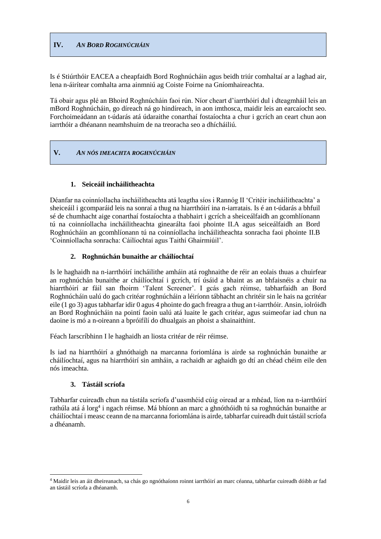# **IV.** *AN BORD ROGHNÚCHÁIN*

Is é Stiúrthóir EACEA a cheapfaidh Bord Roghnúcháin agus beidh triúr comhaltaí ar a laghad air, lena n-áirítear comhalta arna ainmniú ag Coiste Foirne na Gníomhaireachta.

Tá obair agus plé an Bhoird Roghnúcháin faoi rún. Níor cheart d'iarrthóirí dul i dteagmháil leis an mBord Roghnúcháin, go díreach ná go hindíreach, in aon imthosca, maidir leis an earcaíocht seo. Forchoimeádann an t-údarás atá údaraithe conarthaí fostaíochta a chur i gcrích an ceart chun aon iarrthóir a dhéanann neamhshuim de na treoracha seo a dhícháiliú.

### **V.** *AN NÓS IMEACHTA ROGHNÚCHÁIN*

### **1. Seiceáil incháilitheachta**

Déanfar na coinníollacha incháilitheachta atá leagtha síos i Rannóg II 'Critéir incháilitheachta' a sheiceáil i gcomparáid leis na sonraí a thug na hiarrthóirí ina n-iarratais. Is é an t-údarás a bhfuil sé de chumhacht aige conarthaí fostaíochta a thabhairt i gcrích a sheiceálfaidh an gcomhlíonann tú na coinníollacha incháilitheachta ginearálta faoi phointe II.A agus seiceálfaidh an Bord Roghnúcháin an gcomhlíonann tú na coinníollacha incháilitheachta sonracha faoi phointe II.B 'Coinníollacha sonracha: Cáilíochtaí agus Taithí Ghairmiúil'.

### **2. Roghnúchán bunaithe ar cháilíochtaí**

Is le haghaidh na n-iarrthóirí incháilithe amháin atá roghnaithe de réir an eolais thuas a chuirfear an roghnúchán bunaithe ar cháilíochtaí i gcrích, trí úsáid a bhaint as an bhfaisnéis a chuir na hiarrthóirí ar fáil san fhoirm 'Talent Screener'. I gcás gach réimse, tabharfaidh an Bord Roghnúcháin ualú do gach critéar roghnúcháin a léiríonn tábhacht an chritéir sin le hais na gcritéar eile (1 go 3) agus tabharfar idir 0 agus 4 phointe do gach freagra a thug an t-iarrthóir. Ansin, iolróidh an Bord Roghnúcháin na pointí faoin ualú atá luaite le gach critéar, agus suimeofar iad chun na daoine is mó a n-oireann a bpróifílí do dhualgais an phoist a shainaithint.

Féach Iarscríbhinn I le haghaidh an liosta critéar de réir réimse.

Is iad na hiarrthóirí a ghnóthaigh na marcanna foriomlána is airde sa roghnúchán bunaithe ar cháilíochtaí, agus na hiarrthóirí sin amháin, a rachaidh ar aghaidh go dtí an chéad chéim eile den nós imeachta.

#### **3. Tástáil scríofa**

1

Tabharfar cuireadh chun na tástála scríofa d'uasmhéid cúig oiread ar a mhéad, líon na n-iarrthóirí rathúla atá á lorg<sup>4</sup> i ngach réimse. Má bhíonn an marc a ghnóthóidh tú sa roghnúchán bunaithe ar cháilíochtaí i measc ceann de na marcanna foriomlána is airde, tabharfar cuireadh duit tástáil scríofa a dhéanamh.

<sup>4</sup> Maidir leis an áit dheireanach, sa chás go ngnóthaíonn roinnt iarrthóirí an marc céanna, tabharfar cuireadh dóibh ar fad an tástáil scríofa a dhéanamh.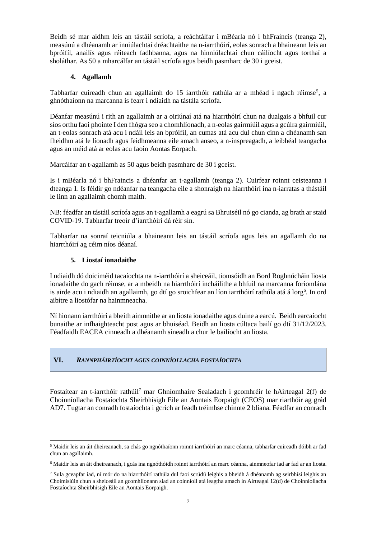Beidh sé mar aidhm leis an tástáil scríofa, a reáchtálfar i mBéarla nó i bhFraincis (teanga 2), measúnú a dhéanamh ar inniúlachtaí dréachtaithe na n-iarrthóirí, eolas sonrach a bhaineann leis an bpróifíl, anailís agus réiteach fadhbanna, agus na hinniúlachtaí chun cáilíocht agus torthaí a sholáthar. As 50 a mharcálfar an tástáil scríofa agus beidh pasmharc de 30 i gceist.

### **4. Agallamh**

Tabharfar cuireadh chun an agallaimh do 15 iarrthóir rathúla ar a mhéad i ngach réimse<sup>5</sup>, a ghnóthaíonn na marcanna is fearr i ndiaidh na tástála scríofa.

Déanfar measúnú i rith an agallaimh ar a oiriúnaí atá na hiarrthóirí chun na dualgais a bhfuil cur síos orthu faoi phointe I den fhógra seo a chomhlíonadh, a n-eolas gairmiúil agus a gcúlra gairmiúil, an t-eolas sonrach atá acu i ndáil leis an bpróifíl, an cumas atá acu dul chun cinn a dhéanamh san fheidhm atá le líonadh agus feidhmeanna eile amach anseo, a n-inspreagadh, a leibhéal teangacha agus an méid atá ar eolas acu faoin Aontas Eorpach.

Marcálfar an t-agallamh as 50 agus beidh pasmharc de 30 i gceist.

Is i mBéarla nó i bhFraincis a dhéanfar an t-agallamh (teanga 2). Cuirfear roinnt ceisteanna i dteanga 1. Is féidir go ndéanfar na teangacha eile a shonraigh na hiarrthóirí ina n-iarratas a thástáil le linn an agallaimh chomh maith.

NB: féadfar an tástáil scríofa agus an t-agallamh a eagrú sa Bhruiséil nó go cianda, ag brath ar staid COVID-19. Tabharfar treoir d'iarrthóirí dá réir sin.

Tabharfar na sonraí teicniúla a bhaineann leis an tástáil scríofa agus leis an agallamh do na hiarrthóirí ag céim níos déanaí.

### **5. Liostaí ionadaithe**

-

I ndiaidh dó doiciméid tacaíochta na n-iarrthóirí a sheiceáil, tiomsóidh an Bord Roghnúcháin liosta ionadaithe do gach réimse, ar a mbeidh na hiarrthóirí incháilithe a bhfuil na marcanna foriomlána is airde acu i ndiaidh an agallaimh, go dtí go sroichfear an líon iarrthóirí rathúla atá á lorg<sup>6</sup>. In ord aibítre a liostófar na hainmneacha.

Ní hionann iarrthóirí a bheith ainmnithe ar an liosta ionadaithe agus duine a earcú. Beidh earcaíocht bunaithe ar infhaighteacht post agus ar bhuiséad. Beidh an liosta cúltaca bailí go dtí 31/12/2023. Féadfaidh EACEA cinneadh a dhéanamh síneadh a chur le bailíocht an liosta.

### **VI.** *RANNPHÁIRTÍOCHT AGUS COINNÍOLLACHA FOSTAÍOCHTA*

Fostaítear an t-iarrthóir rathúil<sup>7</sup> mar Ghníomhaire Sealadach i gcomhréir le hAirteagal 2(f) de Choinníollacha Fostaíochta Sheirbhísigh Eile an Aontais Eorpaigh (CEOS) mar riarthóir ag grád AD7. Tugtar an conradh fostaíochta i gcrích ar feadh tréimhse chinnte 2 bliana. Féadfar an conradh

<sup>5</sup> Maidir leis an áit dheireanach, sa chás go ngnóthaíonn roinnt iarrthóirí an marc céanna, tabharfar cuireadh dóibh ar fad chun an agallaimh.

<sup>6</sup> Maidir leis an áit dheireanach, i gcás ina ngnóthóidh roinnt iarrthóirí an marc céanna, ainmneofar iad ar fad ar an liosta.

<sup>&</sup>lt;sup>7</sup> Sula gceapfar iad, ní mór do na hiarrthóirí rathúla dul faoi scrúdú leighis a bheidh á dhéanamh ag seirbhísí leighis an Choimisiúin chun a sheiceáil an gcomhlíonann siad an coinníoll atá leagtha amach in Airteagal 12(d) de Choinníollacha Fostaíochta Sheirbhísigh Eile an Aontais Eorpaigh.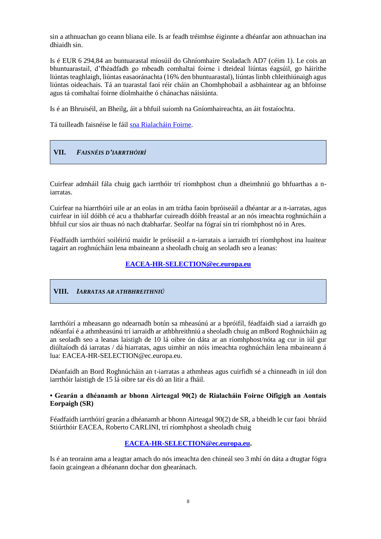sin a athnuachan go ceann bliana eile. Is ar feadh tréimhse éiginnte a dhéanfar aon athnuachan ina dhiaidh sin.

Is é EUR 6 294,84 an buntuarastal míosúil do Ghníomhaire Sealadach AD7 (céim 1). Le cois an bhuntuarastail, d'fhéadfadh go mbeadh comhaltaí foirne i dteideal liúntas éagsúil, go háirithe liúntas teaghlaigh, liúntas easaoránachta (16% den bhuntuarastal), liúntas linbh chleithiúnaigh agus liúntas oideachais. Tá an tuarastal faoi réir cháin an Chomhphobail a asbhaintear ag an bhfoinse agus tá comhaltaí foirne díolmhaithe ó chánachas náisiúnta.

Is é an Bhruiséil, an Bheilg, áit a bhfuil suíomh na Gníomhaireachta, an áit fostaíochta.

Tá tuilleadh faisnéise le fáil [sna Rialacháin Foirne.](https://eur-lex.europa.eu/legal-content/EN/TXT/?uri=CELEX:01962R0031-20140501)

# **VII.** *FAISNÉIS D'IARRTHÓIRÍ*

Cuirfear admháil fála chuig gach iarrthóir trí ríomhphost chun a dheimhniú go bhfuarthas a niarratas.

Cuirfear na hiarrthóirí uile ar an eolas in am trátha faoin bpróiseáil a dhéantar ar a n-iarratas, agus cuirfear in iúl dóibh cé acu a thabharfar cuireadh dóibh freastal ar an nós imeachta roghnúcháin a bhfuil cur síos air thuas nó nach dtabharfar. Seolfar na fógraí sin trí ríomhphost nó in Ares.

Féadfaidh iarrthóirí soiléiriú maidir le próiseáil a n-iarratais a iarraidh trí ríomhphost ina luaitear tagairt an roghnúcháin lena mbaineann a sheoladh chuig an seoladh seo a leanas:

### **[EACEA-HR-SELECTION@ec.europa.eu](mailto:EACEA-HR-SELECTION@ec.europa.eu)**

#### **VIII.** *IARRATAS AR ATHBHREITHNIÚ*

Iarrthóirí a mheasann go ndearnadh botún sa mheasúnú ar a bpróifíl, féadfaidh siad a iarraidh go ndéanfaí é a athmheasúnú trí iarraidh ar athbhreithniú a sheoladh chuig an mBord Roghnúcháin ag an seoladh seo a leanas laistigh de 10 lá oibre ón dáta ar an ríomhphost/nóta ag cur in iúl gur diúltaíodh dá iarratas / dá hiarratas, agus uimhir an nóis imeachta roghnúcháin lena mbaineann á lua: EACEA-HR-SELECTION@ec.europa.eu.

Déanfaidh an Bord Roghnúcháin an t-iarratas a athmheas agus cuirfidh sé a chinneadh in iúl don iarrthóir laistigh de 15 lá oibre tar éis dó an litir a fháil.

### **• Gearán a dhéanamh ar bhonn Airteagal 90(2) de Rialacháin Foirne Oifigigh an Aontais Eorpaigh (SR)**

Féadfaidh iarrthóirí gearán a dhéanamh ar bhonn Airteagal 90(2) de SR, a bheidh le cur faoi bhráid Stiúrthóir EACEA, Roberto CARLINI, trí ríomhphost a sheoladh chuig

### **[EACEA-HR-SELECTION@ec.europa.eu.](mailto:EACEA-HR-SELECTION@ec.europa.eu)**

Is é an teorainn ama a leagtar amach do nós imeachta den chineál seo 3 mhí ón dáta a dtugtar fógra faoin gcaingean a dhéanann dochar don ghearánach.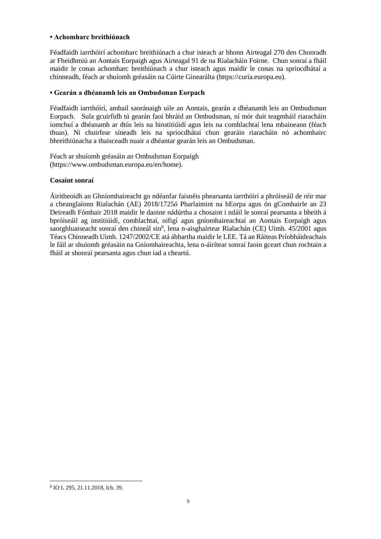#### **• Achomharc breithiúnach**

Féadfaidh iarrthóirí achomharc breithiúnach a chur isteach ar bhonn Airteagal 270 den Chonradh ar Fheidhmiú an Aontais Eorpaigh agus Airteagal 91 de na Rialacháin Foirne. Chun sonraí a fháil maidir le conas achomharc breithiúnach a chur isteach agus maidir le conas na spriocdhátaí a chinneadh, féach ar shuíomh gréasáin na Cúirte Ginearálta (https://curia.europa.eu).

### **• Gearán a dhéanamh leis an Ombudsman Eorpach**

Féadfaidh iarrthóirí, amhail saoránaigh uile an Aontais, gearán a dhéanamh leis an Ombudsman Eorpach. Sula gcuirfidh tú gearán faoi bhráid an Ombudsman, ní mór duit teagmháil riaracháin iomchuí a dhéanamh ar dtús leis na hinstitiúidí agus leis na comhlachtaí lena mbaineann (féach thuas). Ní chuirfear síneadh leis na spriocdhátaí chun gearáin riaracháin nó achomhairc bhreithiúnacha a thaisceadh nuair a dhéantar gearán leis an Ombudsman.

Féach ar shuíomh gréasáin an Ombudsman Eorpaigh (https://www.ombudsman.europa.eu/en/home).

### **Cosaint sonraí**

Áiritheoidh an Ghníomhaireacht go ndéanfar faisnéis phearsanta iarrthóirí a phróiseáil de réir mar a cheanglaíonn Rialachán (AE) 2018/1725ó Pharlaimint na hEorpa agus ón gComhairle an 23 Deireadh Fómhair 2018 maidir le daoine nádúrtha a chosaint i ndáil le sonraí pearsanta a bheith á bpróiseáil ag institiúidí, comhlachtaí, oifigí agus gníomhaireachtaí an Aontais Eorpaigh agus saorghluaiseacht sonraí den chineál sin<sup>8</sup>, lena n-aisghairtear Rialachán (CE) Uimh. 45/2001 agus Téacs Chinneadh Uimh. 1247/2002/CE atá ábhartha maidir le LEE. Tá an Ráiteas Príobháideachais le fáil ar shuíomh gréasáin na Gníomhaireachta, lena n-áirítear sonraí faoin gceart chun rochtain a fháil ar shonraí pearsanta agus chun iad a cheartú.

<sup>-</sup>8 IO L 295, 21.11.2018, lch. 39.